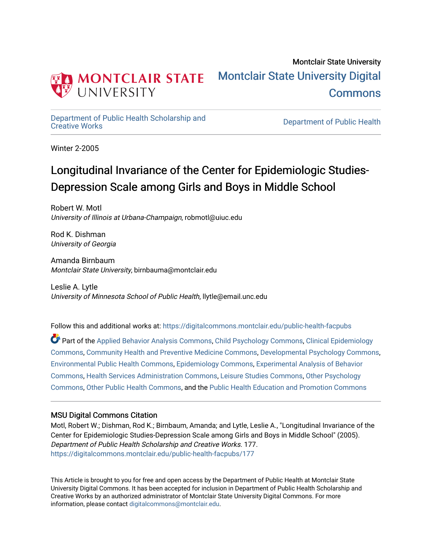

# Montclair State University [Montclair State University Digital](https://digitalcommons.montclair.edu/)  [Commons](https://digitalcommons.montclair.edu/)

[Department of Public Health Scholarship and](https://digitalcommons.montclair.edu/public-health-facpubs) 

Department of Public Health

Winter 2-2005

# Longitudinal Invariance of the Center for Epidemiologic Studies-Depression Scale among Girls and Boys in Middle School

Robert W. Motl University of Illinois at Urbana-Champaign, robmotl@uiuc.edu

Rod K. Dishman University of Georgia

Amanda Birnbaum Montclair State University, birnbauma@montclair.edu

Leslie A. Lytle University of Minnesota School of Public Health, llytle@email.unc.edu

Follow this and additional works at: [https://digitalcommons.montclair.edu/public-health-facpubs](https://digitalcommons.montclair.edu/public-health-facpubs?utm_source=digitalcommons.montclair.edu%2Fpublic-health-facpubs%2F177&utm_medium=PDF&utm_campaign=PDFCoverPages) 

Part of the [Applied Behavior Analysis Commons](http://network.bepress.com/hgg/discipline/1235?utm_source=digitalcommons.montclair.edu%2Fpublic-health-facpubs%2F177&utm_medium=PDF&utm_campaign=PDFCoverPages), [Child Psychology Commons,](http://network.bepress.com/hgg/discipline/1023?utm_source=digitalcommons.montclair.edu%2Fpublic-health-facpubs%2F177&utm_medium=PDF&utm_campaign=PDFCoverPages) [Clinical Epidemiology](http://network.bepress.com/hgg/discipline/815?utm_source=digitalcommons.montclair.edu%2Fpublic-health-facpubs%2F177&utm_medium=PDF&utm_campaign=PDFCoverPages)  [Commons](http://network.bepress.com/hgg/discipline/815?utm_source=digitalcommons.montclair.edu%2Fpublic-health-facpubs%2F177&utm_medium=PDF&utm_campaign=PDFCoverPages), [Community Health and Preventive Medicine Commons,](http://network.bepress.com/hgg/discipline/744?utm_source=digitalcommons.montclair.edu%2Fpublic-health-facpubs%2F177&utm_medium=PDF&utm_campaign=PDFCoverPages) [Developmental Psychology Commons,](http://network.bepress.com/hgg/discipline/410?utm_source=digitalcommons.montclair.edu%2Fpublic-health-facpubs%2F177&utm_medium=PDF&utm_campaign=PDFCoverPages) [Environmental Public Health Commons,](http://network.bepress.com/hgg/discipline/739?utm_source=digitalcommons.montclair.edu%2Fpublic-health-facpubs%2F177&utm_medium=PDF&utm_campaign=PDFCoverPages) [Epidemiology Commons,](http://network.bepress.com/hgg/discipline/740?utm_source=digitalcommons.montclair.edu%2Fpublic-health-facpubs%2F177&utm_medium=PDF&utm_campaign=PDFCoverPages) [Experimental Analysis of Behavior](http://network.bepress.com/hgg/discipline/1236?utm_source=digitalcommons.montclair.edu%2Fpublic-health-facpubs%2F177&utm_medium=PDF&utm_campaign=PDFCoverPages) [Commons](http://network.bepress.com/hgg/discipline/1236?utm_source=digitalcommons.montclair.edu%2Fpublic-health-facpubs%2F177&utm_medium=PDF&utm_campaign=PDFCoverPages), [Health Services Administration Commons](http://network.bepress.com/hgg/discipline/747?utm_source=digitalcommons.montclair.edu%2Fpublic-health-facpubs%2F177&utm_medium=PDF&utm_campaign=PDFCoverPages), [Leisure Studies Commons](http://network.bepress.com/hgg/discipline/1197?utm_source=digitalcommons.montclair.edu%2Fpublic-health-facpubs%2F177&utm_medium=PDF&utm_campaign=PDFCoverPages), [Other Psychology](http://network.bepress.com/hgg/discipline/415?utm_source=digitalcommons.montclair.edu%2Fpublic-health-facpubs%2F177&utm_medium=PDF&utm_campaign=PDFCoverPages) [Commons](http://network.bepress.com/hgg/discipline/415?utm_source=digitalcommons.montclair.edu%2Fpublic-health-facpubs%2F177&utm_medium=PDF&utm_campaign=PDFCoverPages), [Other Public Health Commons](http://network.bepress.com/hgg/discipline/748?utm_source=digitalcommons.montclair.edu%2Fpublic-health-facpubs%2F177&utm_medium=PDF&utm_campaign=PDFCoverPages), and the [Public Health Education and Promotion Commons](http://network.bepress.com/hgg/discipline/743?utm_source=digitalcommons.montclair.edu%2Fpublic-health-facpubs%2F177&utm_medium=PDF&utm_campaign=PDFCoverPages) 

### MSU Digital Commons Citation

Motl, Robert W.; Dishman, Rod K.; Birnbaum, Amanda; and Lytle, Leslie A., "Longitudinal Invariance of the Center for Epidemiologic Studies-Depression Scale among Girls and Boys in Middle School" (2005). Department of Public Health Scholarship and Creative Works. 177. [https://digitalcommons.montclair.edu/public-health-facpubs/177](https://digitalcommons.montclair.edu/public-health-facpubs/177?utm_source=digitalcommons.montclair.edu%2Fpublic-health-facpubs%2F177&utm_medium=PDF&utm_campaign=PDFCoverPages) 

This Article is brought to you for free and open access by the Department of Public Health at Montclair State University Digital Commons. It has been accepted for inclusion in Department of Public Health Scholarship and Creative Works by an authorized administrator of Montclair State University Digital Commons. For more information, please contact [digitalcommons@montclair.edu](mailto:digitalcommons@montclair.edu).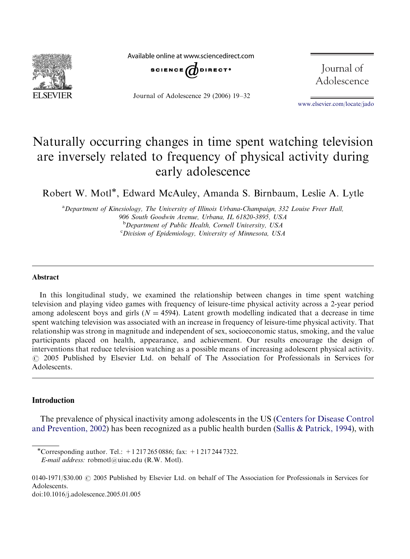

Available online at www.sciencedirect.com



Journal of Adolescence 29 (2006) 19–32

Journal of Adolescence

<www.elsevier.com/locate/jado>

## Naturally occurring changes in time spent watching television are inversely related to frequency of physical activity during early adolescence

Robert W. Motl\*, Edward McAuley, Amanda S. Birnbaum, Leslie A. Lytle

<sup>a</sup> Department of Kinesiology, The University of Illinois Urbana-Champaign, 332 Louise Freer Hall, 906 South Goodwin Avenue, Urbana, IL 61820-3895, USA b Department of Public Health, Cornell University, USA <sup>c</sup>Division of Epidemiology, University of Minnesota, USA

#### Abstract

In this longitudinal study, we examined the relationship between changes in time spent watching television and playing video games with frequency of leisure-time physical activity across a 2-year period among adolescent boys and girls  $(N = 4594)$ . Latent growth modelling indicated that a decrease in time spent watching television was associated with an increase in frequency of leisure-time physical activity. That relationship was strong in magnitude and independent of sex, socioeconomic status, smoking, and the value participants placed on health, appearance, and achievement. Our results encourage the design of interventions that reduce television watching as a possible means of increasing adolescent physical activity. r 2005 Published by Elsevier Ltd. on behalf of The Association for Professionals in Services for **Adolescents** 

#### Introduction

The prevalence of physical inactivity among adolescents in the US ([Centers for Disease Control](#page-13-0) [and Prevention, 2002](#page-13-0)) has been recognized as a public health burden ([Sallis](#page-13-0) & [Patrick, 1994\)](#page-13-0), with

doi:10.1016/j.adolescence.2005.01.005

<sup>\*</sup>Corresponding author. Tel.:  $+12172650886$ ; fax:  $+12172447322$ . E-mail address: robmotl@uiuc.edu (R.W. Motl).

<sup>0140-1971/\$30.00 © 2005</sup> Published by Elsevier Ltd. on behalf of The Association for Professionals in Services for Adolescents.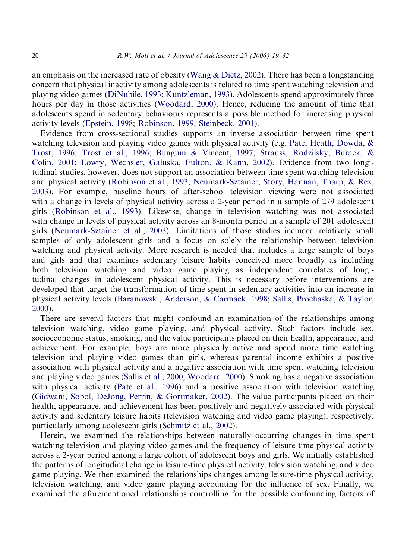an emphasis on the increased rate of obesity (Wang  $\&$  Dietz, 2002). There has been a longstanding concern that physical inactivity among adolescents is related to time spent watching television and playing video games ([DiNubile, 1993](#page-13-0); [Kuntzleman, 1993](#page-13-0)). Adolescents spend approximately three hours per day in those activities ([Woodard, 2000](#page-14-0)). Hence, reducing the amount of time that adolescents spend in sedentary behaviours represents a possible method for increasing physical activity levels [\(Epstein, 1998;](#page-13-0) [Robinson, 1999;](#page-13-0) [Steinbeck, 2001\)](#page-14-0).

Evidence from cross-sectional studies supports an inverse association between time spent watching television and playing video games with physical activity (e.g. [Pate, Heath, Dowda,](#page-13-0) & [Trost, 1996](#page-13-0); [Trost et al., 1996;](#page-14-0) [Bungum & Vincent, 1997](#page-13-0); [Strauss, Rodzilsky, Burack,](#page-14-0) & [Colin, 2001;](#page-14-0) [Lowry, Wechsler, Galuska, Fulton, & Kann, 2002\)](#page-13-0). Evidence from two longitudinal studies, however, does not support an association between time spent watching television and physical activity ([Robinson et al., 1993;](#page-13-0) [Neumark-Sztainer, Story, Hannan, Tharp, & Rex,](#page-13-0) [2003](#page-13-0)). For example, baseline hours of after-school television viewing were not associated with a change in levels of physical activity across a 2-year period in a sample of 279 adolescent girls ([Robinson et al., 1993\)](#page-13-0). Likewise, change in television watching was not associated with change in levels of physical activity across an 8-month period in a sample of 201 adolescent girls ([Neumark-Sztainer et al., 2003\)](#page-13-0). Limitations of those studies included relatively small samples of only adolescent girls and a focus on solely the relationship between television watching and physical activity. More research is needed that includes a large sample of boys and girls and that examines sedentary leisure habits conceived more broadly as including both television watching and video game playing as independent correlates of longitudinal changes in adolescent physical activity. This is necessary before interventions are developed that target the transformation of time spent in sedentary activities into an increase in physical activity levels ([Baranowski, Anderson,](#page-12-0) & [Carmack, 1998](#page-12-0); [Sallis, Prochaska, & Taylor,](#page-14-0) [2000](#page-14-0)).

There are several factors that might confound an examination of the relationships among television watching, video game playing, and physical activity. Such factors include sex, socioeconomic status, smoking, and the value participants placed on their health, appearance, and achievement. For example, boys are more physically active and spend more time watching television and playing video games than girls, whereas parental income exhibits a positive association with physical activity and a negative association with time spent watching television and playing video games ([Sallis et al., 2000](#page-14-0); [Woodard, 2000\)](#page-14-0). Smoking has a negative association with physical activity ([Pate et al., 1996](#page-13-0)) and a positive association with television watching [\(Gidwani, Sobol, DeJong, Perrin, & Gortmaker, 2002](#page-13-0)). The value participants placed on their health, appearance, and achievement has been positively and negatively associated with physical activity and sedentary leisure habits (television watching and video game playing), respectively, particularly among adolescent girls ([Schmitz et al., 2002\)](#page-14-0).

Herein, we examined the relationships between naturally occurring changes in time spent watching television and playing video games and the frequency of leisure-time physical activity across a 2-year period among a large cohort of adolescent boys and girls. We initially established the patterns of longitudinal change in leisure-time physical activity, television watching, and video game playing. We then examined the relationships changes among leisure-time physical activity, television watching, and video game playing accounting for the influence of sex. Finally, we examined the aforementioned relationships controlling for the possible confounding factors of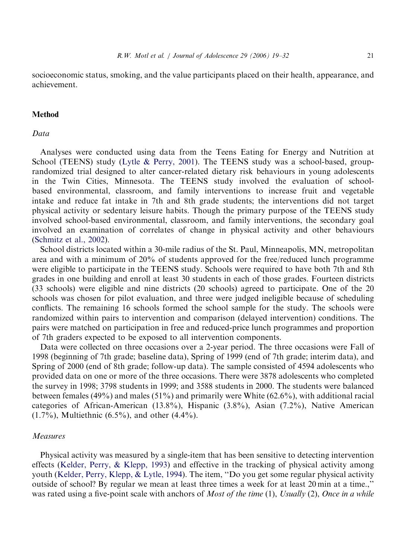socioeconomic status, smoking, and the value participants placed on their health, appearance, and achievement.

#### Method

#### Data

Analyses were conducted using data from the Teens Eating for Energy and Nutrition at School (TEENS) study ([Lytle & Perry, 2001\)](#page-13-0). The TEENS study was a school-based, grouprandomized trial designed to alter cancer-related dietary risk behaviours in young adolescents in the Twin Cities, Minnesota. The TEENS study involved the evaluation of schoolbased environmental, classroom, and family interventions to increase fruit and vegetable intake and reduce fat intake in 7th and 8th grade students; the interventions did not target physical activity or sedentary leisure habits. Though the primary purpose of the TEENS study involved school-based environmental, classroom, and family interventions, the secondary goal involved an examination of correlates of change in physical activity and other behaviours [\(Schmitz et al., 2002](#page-14-0)).

School districts located within a 30-mile radius of the St. Paul, Minneapolis, MN, metropolitan area and with a minimum of 20% of students approved for the free/reduced lunch programme were eligible to participate in the TEENS study. Schools were required to have both 7th and 8th grades in one building and enroll at least 30 students in each of those grades. Fourteen districts (33 schools) were eligible and nine districts (20 schools) agreed to participate. One of the 20 schools was chosen for pilot evaluation, and three were judged ineligible because of scheduling conflicts. The remaining 16 schools formed the school sample for the study. The schools were randomized within pairs to intervention and comparison (delayed intervention) conditions. The pairs were matched on participation in free and reduced-price lunch programmes and proportion of 7th graders expected to be exposed to all intervention components.

Data were collected on three occasions over a 2-year period. The three occasions were Fall of 1998 (beginning of 7th grade; baseline data), Spring of 1999 (end of 7th grade; interim data), and Spring of 2000 (end of 8th grade; follow-up data). The sample consisted of 4594 adolescents who provided data on one or more of the three occasions. There were 3878 adolescents who completed the survey in 1998; 3798 students in 1999; and 3588 students in 2000. The students were balanced between females (49%) and males (51%) and primarily were White (62.6%), with additional racial categories of African-American (13.8%), Hispanic (3.8%), Asian (7.2%), Native American (1.7%), Multiethnic (6.5%), and other (4.4%).

#### Measures

Physical activity was measured by a single-item that has been sensitive to detecting intervention effects ([Kelder, Perry, & Klepp, 1993](#page-13-0)) and effective in the tracking of physical activity among youth [\(Kelder, Perry, Klepp,](#page-13-0) & [Lytle, 1994](#page-13-0)). The item, ''Do you get some regular physical activity outside of school? By regular we mean at least three times a week for at least 20 min at a time.,'' was rated using a five-point scale with anchors of *Most of the time* (1), Usually (2), Once in a while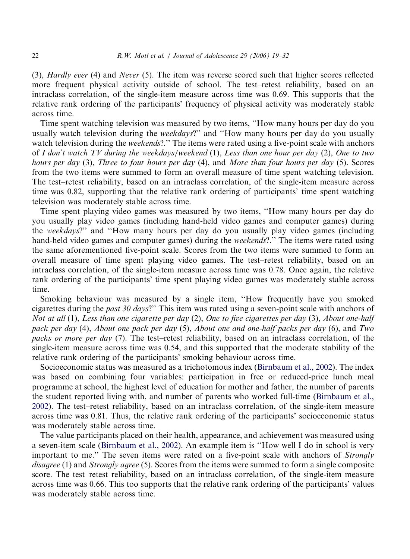(3), Hardly ever (4) and Never (5). The item was reverse scored such that higher scores reflected more frequent physical activity outside of school. The test–retest reliability, based on an intraclass correlation, of the single-item measure across time was 0.69. This supports that the relative rank ordering of the participants' frequency of physical activity was moderately stable across time.

Time spent watching television was measured by two items, ''How many hours per day do you usually watch television during the weekdays?" and "How many hours per day do you usually watch television during the *weekends*?." The items were rated using a five-point scale with anchors of I don't watch TV during the weekdays/weekend (1), Less than one hour per day (2), One to two hours per day (3), Three to four hours per day (4), and More than four hours per day (5). Scores from the two items were summed to form an overall measure of time spent watching television. The test–retest reliability, based on an intraclass correlation, of the single-item measure across time was 0.82, supporting that the relative rank ordering of participants' time spent watching television was moderately stable across time.

Time spent playing video games was measured by two items, ''How many hours per day do you usually play video games (including hand-held video games and computer games) during the weekdays?" and "How many hours per day do you usually play video games (including hand-held video games and computer games) during the *weekends*?." The items were rated using the same aforementioned five-point scale. Scores from the two items were summed to form an overall measure of time spent playing video games. The test–retest reliability, based on an intraclass correlation, of the single-item measure across time was 0.78. Once again, the relative rank ordering of the participants' time spent playing video games was moderately stable across time.

Smoking behaviour was measured by a single item, ''How frequently have you smoked cigarettes during the past 30 days?'' This item was rated using a seven-point scale with anchors of Not at all  $(1)$ , Less than one cigarette per day  $(2)$ , One to five cigarettes per day  $(3)$ , About one-half pack per day (4), About one pack per day (5), About one and one-half packs per day (6), and Two packs or more per day (7). The test–retest reliability, based on an intraclass correlation, of the single-item measure across time was 0.54, and this supported that the moderate stability of the relative rank ordering of the participants' smoking behaviour across time.

Socioeconomic status was measured as a trichotomous index ([Birnbaum et al., 2002](#page-13-0)). The index was based on combining four variables: participation in free or reduced-price lunch meal programme at school, the highest level of education for mother and father, the number of parents the student reported living with, and number of parents who worked full-time ([Birnbaum et al.,](#page-13-0) [2002](#page-13-0)). The test–retest reliability, based on an intraclass correlation, of the single-item measure across time was 0.81. Thus, the relative rank ordering of the participants' socioeconomic status was moderately stable across time.

The value participants placed on their health, appearance, and achievement was measured using a seven-item scale ([Birnbaum et al., 2002\)](#page-13-0). An example item is ''How well I do in school is very important to me.'' The seven items were rated on a five-point scale with anchors of Strongly disagree (1) and *Strongly agree* (5). Scores from the items were summed to form a single composite score. The test–retest reliability, based on an intraclass correlation, of the single-item measure across time was 0.66. This too supports that the relative rank ordering of the participants' values was moderately stable across time.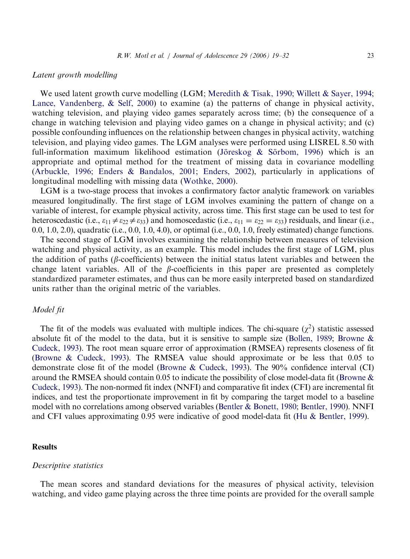#### Latent growth modelling

We used latent growth curve modelling (LGM; [Meredith & Tisak, 1990;](#page-13-0) [Willett & Sayer, 1994;](#page-14-0) [Lance, Vandenberg,](#page-13-0) & [Self, 2000\)](#page-13-0) to examine (a) the patterns of change in physical activity, watching television, and playing video games separately across time; (b) the consequence of a change in watching television and playing video games on a change in physical activity; and (c) possible confounding influences on the relationship between changes in physical activity, watching television, and playing video games. The LGM analyses were performed using LISREL 8.50 with full-information maximum likelihood estimation (Jöreskog & Sörbom, 1996) which is an appropriate and optimal method for the treatment of missing data in covariance modelling [\(Arbuckle, 1996](#page-12-0); [Enders & Bandalos, 2001](#page-13-0); [Enders, 2002\)](#page-13-0), particularly in applications of longitudinal modelling with missing data [\(Wothke, 2000](#page-14-0)).

LGM is a two-stage process that invokes a confirmatory factor analytic framework on variables measured longitudinally. The first stage of LGM involves examining the pattern of change on a variable of interest, for example physical activity, across time. This first stage can be used to test for heteroscedastic (i.e.,  $\varepsilon_{11} \neq \varepsilon_{22} \neq \varepsilon_{33}$ ) and homoscedastic (i.e.,  $\varepsilon_{11} = \varepsilon_{22} = \varepsilon_{33}$ ) residuals, and linear (i.e., 0.0, 1.0, 2.0), quadratic (i.e., 0.0, 1.0, 4.0), or optimal (i.e., 0.0, 1.0, freely estimated) change functions.

The second stage of LGM involves examining the relationship between measures of television watching and physical activity, as an example. This model includes the first stage of LGM, plus the addition of paths ( $\beta$ -coefficients) between the initial status latent variables and between the change latent variables. All of the  $\beta$ -coefficients in this paper are presented as completely standardized parameter estimates, and thus can be more easily interpreted based on standardized units rather than the original metric of the variables.

#### Model fit

The fit of the models was evaluated with multiple indices. The chi-square  $(\chi^2)$  statistic assessed absolute fit of the model to the data, but it is sensitive to sample size [\(Bollen, 1989](#page-13-0); [Browne](#page-13-0) & [Cudeck, 1993\)](#page-13-0). The root mean square error of approximation (RMSEA) represents closeness of fit [\(Browne & Cudeck, 1993\)](#page-13-0). The RMSEA value should approximate or be less that 0.05 to demonstrate close fit of the model [\(Browne & Cudeck, 1993\)](#page-13-0). The 90% confidence interval (CI) around the RMSEA should contain 0.05 to indicate the possibility of close model-data fit [\(Browne](#page-13-0) & [Cudeck, 1993\)](#page-13-0). The non-normed fit index (NNFI) and comparative fit index (CFI) are incremental fit indices, and test the proportionate improvement in fit by comparing the target model to a baseline model with no correlations among observed variables [\(Bentler](#page-13-0) & [Bonett, 1980;](#page-13-0) [Bentler, 1990\)](#page-12-0). NNFI and CFI values approximating 0.95 were indicative of good model-data fit [\(Hu & Bentler, 1999\)](#page-13-0).

#### Results

#### Descriptive statistics

The mean scores and standard deviations for the measures of physical activity, television watching, and video game playing across the three time points are provided for the overall sample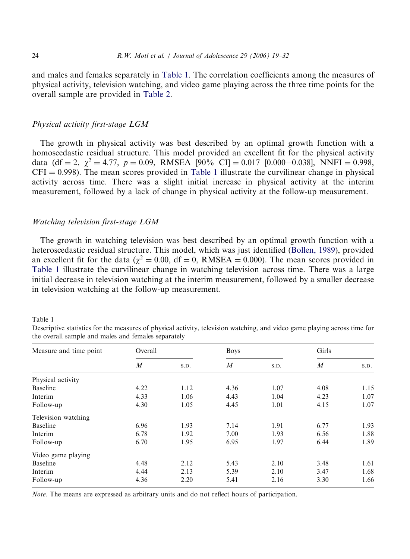<span id="page-6-0"></span>and males and females separately in Table 1. The correlation coefficients among the measures of physical activity, television watching, and video game playing across the three time points for the overall sample are provided in [Table 2.](#page-7-0)

#### Physical activity first-stage LGM

The growth in physical activity was best described by an optimal growth function with a homoscedastic residual structure. This model provided an excellent fit for the physical activity data (df = 2,  $\chi^2 = 4.77$ ,  $p = 0.09$ , RMSEA [90% CI] = 0.017 [0.000-0.038], NNFI = 0.998,  $CFI = 0.998$ ). The mean scores provided in Table 1 illustrate the curvilinear change in physical activity across time. There was a slight initial increase in physical activity at the interim measurement, followed by a lack of change in physical activity at the follow-up measurement.

#### Watching television first-stage LGM

The growth in watching television was best described by an optimal growth function with a heteroscedastic residual structure. This model, which was just identified ([Bollen, 1989](#page-13-0)), provided an excellent fit for the data ( $\chi^2 = 0.00$ , df = 0, RMSEA = 0.000). The mean scores provided in Table 1 illustrate the curvilinear change in watching television across time. There was a large initial decrease in television watching at the interim measurement, followed by a smaller decrease in television watching at the follow-up measurement.

Table 1

| Measure and time point | Overall          |      | <b>Boys</b>      |      | Girls            |      |
|------------------------|------------------|------|------------------|------|------------------|------|
|                        | $\boldsymbol{M}$ | S.D. | $\boldsymbol{M}$ | S.D. | $\boldsymbol{M}$ | S.D. |
| Physical activity      |                  |      |                  |      |                  |      |
| <b>Baseline</b>        | 4.22             | 1.12 | 4.36             | 1.07 | 4.08             | 1.15 |
| Interim                | 4.33             | 1.06 | 4.43             | 1.04 | 4.23             | 1.07 |
| Follow-up              | 4.30             | 1.05 | 4.45             | 1.01 | 4.15             | 1.07 |
| Television watching    |                  |      |                  |      |                  |      |
| <b>Baseline</b>        | 6.96             | 1.93 | 7.14             | 1.91 | 6.77             | 1.93 |
| Interim                | 6.78             | 1.92 | 7.00             | 1.93 | 6.56             | 1.88 |
| Follow-up              | 6.70             | 1.95 | 6.95             | 1.97 | 6.44             | 1.89 |
| Video game playing     |                  |      |                  |      |                  |      |
| <b>Baseline</b>        | 4.48             | 2.12 | 5.43             | 2.10 | 3.48             | 1.61 |
| Interim                | 4.44             | 2.13 | 5.39             | 2.10 | 3.47             | 1.68 |
| Follow-up              | 4.36             | 2.20 | 5.41             | 2.16 | 3.30             | 1.66 |

Descriptive statistics for the measures of physical activity, television watching, and video game playing across time for the overall sample and males and females separately

Note. The means are expressed as arbitrary units and do not reflect hours of participation.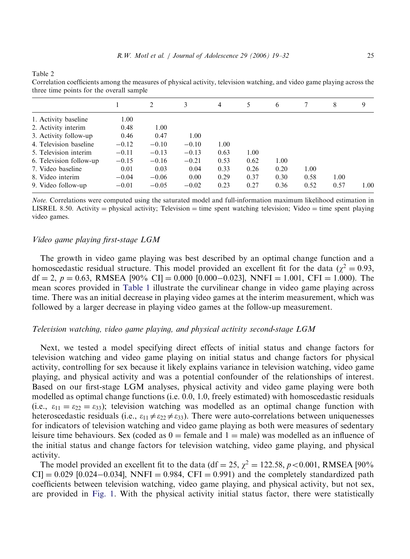| three time points for the overall sample |         |         |         |      |      |      |      |      |      |  |  |  |
|------------------------------------------|---------|---------|---------|------|------|------|------|------|------|--|--|--|
|                                          |         | 2       |         | 4    | 5    | 6    |      | 8    | 9    |  |  |  |
| 1. Activity baseline                     | 1.00    |         |         |      |      |      |      |      |      |  |  |  |
| 2. Activity interim                      | 0.48    | 1.00    |         |      |      |      |      |      |      |  |  |  |
| 3. Activity follow-up                    | 0.46    | 0.47    | 1.00    |      |      |      |      |      |      |  |  |  |
| 4. Television baseline                   | $-0.12$ | $-0.10$ | $-0.10$ | 1.00 |      |      |      |      |      |  |  |  |
| 5. Television interim                    | $-0.11$ | $-0.13$ | $-0.13$ | 0.63 | 1.00 |      |      |      |      |  |  |  |
| 6. Television follow-up                  | $-0.15$ | $-0.16$ | $-0.21$ | 0.53 | 0.62 | 1.00 |      |      |      |  |  |  |
| 7. Video baseline                        | 0.01    | 0.03    | 0.04    | 0.33 | 0.26 | 0.20 | 1.00 |      |      |  |  |  |
| 8. Video interim                         | $-0.04$ | $-0.06$ | 0.00    | 0.29 | 0.37 | 0.30 | 0.58 | 1.00 |      |  |  |  |
| 9. Video follow-up                       | $-0.01$ | $-0.05$ | $-0.02$ | 0.23 | 0.27 | 0.36 | 0.52 | 0.57 | 1.00 |  |  |  |

Correlation coefficients among the measures of physical activity, television watching, and video game playing across the three time points for the overall sample

Note. Correlations were computed using the saturated model and full-information maximum likelihood estimation in LISREL 8.50. Activity = physical activity; Television = time spent watching television; Video = time spent playing video games.

#### Video game playing first-stage LGM

<span id="page-7-0"></span>Table 2

The growth in video game playing was best described by an optimal change function and a homoscedastic residual structure. This model provided an excellent fit for the data ( $\chi^2 = 0.93$ , df = 2,  $p = 0.63$ , RMSEA [90% CI] = 0.000 [0.000-0.023], NNFI = 1.001, CFI = 1.000). The mean scores provided in [Table 1](#page-6-0) illustrate the curvilinear change in video game playing across time. There was an initial decrease in playing video games at the interim measurement, which was followed by a larger decrease in playing video games at the follow-up measurement.

#### Television watching, video game playing, and physical activity second-stage LGM

Next, we tested a model specifying direct effects of initial status and change factors for television watching and video game playing on initial status and change factors for physical activity, controlling for sex because it likely explains variance in television watching, video game playing, and physical activity and was a potential confounder of the relationships of interest. Based on our first-stage LGM analyses, physical activity and video game playing were both modelled as optimal change functions (i.e. 0.0, 1.0, freely estimated) with homoscedastic residuals (i.e.,  $\varepsilon_{11} = \varepsilon_{22} = \varepsilon_{33}$ ); television watching was modelled as an optimal change function with heteroscedastic residuals (i.e.,  $\varepsilon_{11} \neq \varepsilon_{22} \neq \varepsilon_{33}$ ). There were auto-correlations between uniquenesses for indicators of television watching and video game playing as both were measures of sedentary leisure time behaviours. Sex (coded as  $0 =$  female and  $1 =$  male) was modelled as an influence of the initial status and change factors for television watching, video game playing, and physical activity.

The model provided an excellent fit to the data (df = 25,  $\chi^2$  = 122.58, p < 0.001, RMSEA [90%  $CI$  = 0.029 [0.024–0.034], NNFI = 0.984, CFI = 0.991) and the completely standardized path coefficients between television watching, video game playing, and physical activity, but not sex, are provided in [Fig. 1.](#page-8-0) With the physical activity initial status factor, there were statistically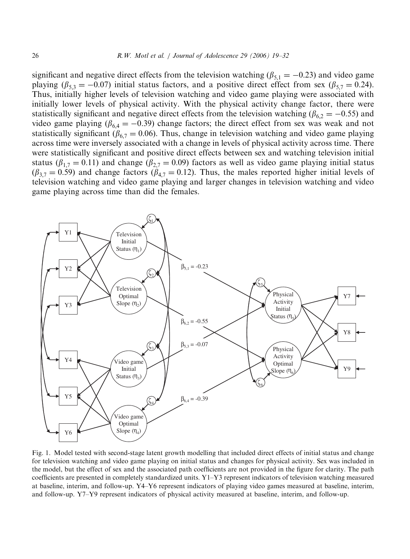<span id="page-8-0"></span>significant and negative direct effects from the television watching ( $\beta_{5,1} = -0.23$ ) and video game playing ( $\beta_{5,3} = -0.07$ ) initial status factors, and a positive direct effect from sex ( $\beta_{5,7} = 0.24$ ). Thus, initially higher levels of television watching and video game playing were associated with initially lower levels of physical activity. With the physical activity change factor, there were statistically significant and negative direct effects from the television watching ( $\beta_{62} = -0.55$ ) and video game playing ( $\beta_{6,4} = -0.39$ ) change factors; the direct effect from sex was weak and not statistically significant  $(\vec{\beta}_{6,7} = 0.06)$ . Thus, change in television watching and video game playing across time were inversely associated with a change in levels of physical activity across time. There were statistically significant and positive direct effects between sex and watching television initial status ( $\beta_{1,7} = 0.11$ ) and change ( $\beta_{2,7} = 0.09$ ) factors as well as video game playing initial status  $(\beta_{3,7} = 0.59)$  and change factors  $(\beta_{4,7} = 0.12)$ . Thus, the males reported higher initial levels of television watching and video game playing and larger changes in television watching and video game playing across time than did the females.



Fig. 1. Model tested with second-stage latent growth modelling that included direct effects of initial status and change for television watching and video game playing on initial status and changes for physical activity. Sex was included in the model, but the effect of sex and the associated path coefficients are not provided in the figure for clarity. The path coefficients are presented in completely standardized units. Y1–Y3 represent indicators of television watching measured at baseline, interim, and follow-up. Y4–Y6 represent indicators of playing video games measured at baseline, interim, and follow-up. Y7–Y9 represent indicators of physical activity measured at baseline, interim, and follow-up.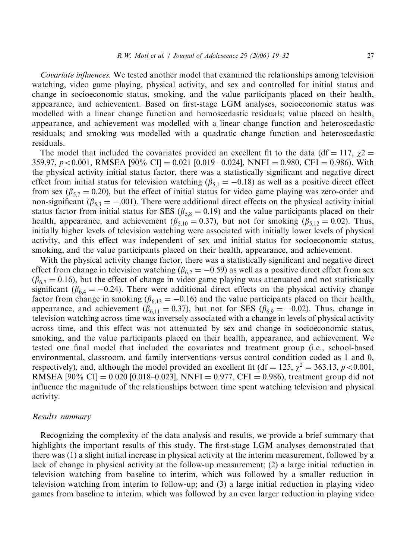Covariate influences. We tested another model that examined the relationships among television watching, video game playing, physical activity, and sex and controlled for initial status and change in socioeconomic status, smoking, and the value participants placed on their health, appearance, and achievement. Based on first-stage LGM analyses, socioeconomic status was modelled with a linear change function and homoscedastic residuals; value placed on health, appearance, and achievement was modelled with a linear change function and heteroscedastic residuals; and smoking was modelled with a quadratic change function and heteroscedastic residuals.

The model that included the covariates provided an excellent fit to the data (df = 117,  $\chi$ 2 = 359.97,  $p < 0.001$ , RMSEA [90% CI] = 0.021 [0.019-0.024], NNFI = 0.980, CFI = 0.986). With the physical activity initial status factor, there was a statistically significant and negative direct effect from initial status for television watching ( $\beta_{5,1} = -0.18$ ) as well as a positive direct effect from sex ( $\beta_{5,7} = 0.20$ ), but the effect of initial status for video game playing was zero-order and non-significant ( $\beta_{53} = -.001$ ). There were additional direct effects on the physical activity initial status factor from initial status for SES ( $\beta_{5,8} = 0.19$ ) and the value participants placed on their health, appearance, and achievement ( $\beta_{5,10} = 0.37$ ), but not for smoking ( $\beta_{5,12} = 0.02$ ). Thus, initially higher levels of television watching were associated with initially lower levels of physical activity, and this effect was independent of sex and initial status for socioeconomic status, smoking, and the value participants placed on their health, appearance, and achievement.

With the physical activity change factor, there was a statistically significant and negative direct effect from change in television watching ( $\beta_{6,2} = -0.59$ ) as well as a positive direct effect from sex  $(\beta_{67} = 0.16)$ , but the effect of change in video game playing was attenuated and not statistically significant ( $\beta_{6,4} = -0.24$ ). There were additional direct effects on the physical activity change factor from change in smoking ( $\beta_{6,13} = -0.16$ ) and the value participants placed on their health, appearance, and achievement ( $\beta_{6,11} = 0.37$ ), but not for SES ( $\beta_{6,9} = -0.02$ ). Thus, change in television watching across time was inversely associated with a change in levels of physical activity across time, and this effect was not attenuated by sex and change in socioeconomic status, smoking, and the value participants placed on their health, appearance, and achievement. We tested one final model that included the covariates and treatment group (i.e., school-based environmental, classroom, and family interventions versus control condition coded as 1 and 0, respectively), and, although the model provided an excellent fit (df = 125,  $\chi^2$  = 363.13, p < 0.001, RMSEA [90% CI] = 0.020 [0.018–0.023], NNFI = 0.977, CFI = 0.986), treatment group did not influence the magnitude of the relationships between time spent watching television and physical activity.

#### Results summary

Recognizing the complexity of the data analysis and results, we provide a brief summary that highlights the important results of this study. The first-stage LGM analyses demonstrated that there was (1) a slight initial increase in physical activity at the interim measurement, followed by a lack of change in physical activity at the follow-up measurement; (2) a large initial reduction in television watching from baseline to interim, which was followed by a smaller reduction in television watching from interim to follow-up; and (3) a large initial reduction in playing video games from baseline to interim, which was followed by an even larger reduction in playing video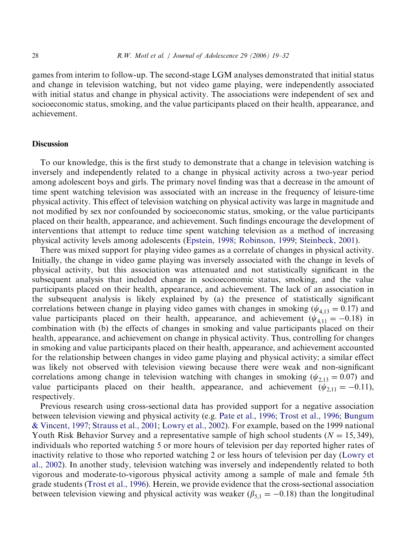games from interim to follow-up. The second-stage LGM analyses demonstrated that initial status and change in television watching, but not video game playing, were independently associated with initial status and change in physical activity. The associations were independent of sex and socioeconomic status, smoking, and the value participants placed on their health, appearance, and achievement.

#### **Discussion**

To our knowledge, this is the first study to demonstrate that a change in television watching is inversely and independently related to a change in physical activity across a two-year period among adolescent boys and girls. The primary novel finding was that a decrease in the amount of time spent watching television was associated with an increase in the frequency of leisure-time physical activity. This effect of television watching on physical activity was large in magnitude and not modified by sex nor confounded by socioeconomic status, smoking, or the value participants placed on their health, appearance, and achievement. Such findings encourage the development of interventions that attempt to reduce time spent watching television as a method of increasing physical activity levels among adolescents [\(Epstein, 1998;](#page-13-0) [Robinson, 1999;](#page-13-0) [Steinbeck, 2001\)](#page-14-0).

There was mixed support for playing video games as a correlate of changes in physical activity. Initially, the change in video game playing was inversely associated with the change in levels of physical activity, but this association was attenuated and not statistically significant in the subsequent analysis that included change in socioeconomic status, smoking, and the value participants placed on their health, appearance, and achievement. The lack of an association in the subsequent analysis is likely explained by (a) the presence of statistically significant correlations between change in playing video games with changes in smoking ( $\psi_{4,13} = 0.17$ ) and value participants placed on their health, appearance, and achievement  $(\psi_{4,11} = -0.18)$  in combination with (b) the effects of changes in smoking and value participants placed on their health, appearance, and achievement on change in physical activity. Thus, controlling for changes in smoking and value participants placed on their health, appearance, and achievement accounted for the relationship between changes in video game playing and physical activity; a similar effect was likely not observed with television viewing because there were weak and non-significant correlations among change in television watching with changes in smoking ( $\psi_{2,13} = 0.07$ ) and value participants placed on their health, appearance, and achievement  $(\psi_{2,11} = -0.11)$ , respectively.

Previous research using cross-sectional data has provided support for a negative association between television viewing and physical activity (e.g. [Pate et al., 1996;](#page-13-0) [Trost et al., 1996;](#page-14-0) [Bungum](#page-13-0) & [Vincent, 1997](#page-13-0); [Strauss et al., 2001;](#page-14-0) [Lowry et al., 2002\)](#page-13-0). For example, based on the 1999 national Youth Risk Behavior Survey and a representative sample of high school students ( $N = 15,349$ ), individuals who reported watching 5 or more hours of television per day reported higher rates of inactivity relative to those who reported watching 2 or less hours of television per day [\(Lowry et](#page-13-0) [al., 2002](#page-13-0)). In another study, television watching was inversely and independently related to both vigorous and moderate-to-vigorous physical activity among a sample of male and female 5th grade students ([Trost et al., 1996\)](#page-14-0). Herein, we provide evidence that the cross-sectional association between television viewing and physical activity was weaker ( $\beta_{5,1} = -0.18$ ) than the longitudinal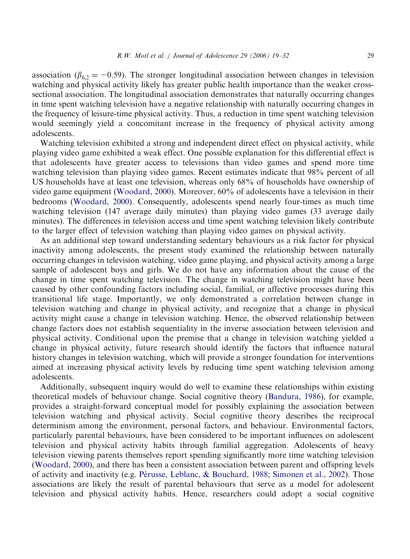association ( $\beta_{62} = -0.59$ ). The stronger longitudinal association between changes in television watching and physical activity likely has greater public health importance than the weaker crosssectional association. The longitudinal association demonstrates that naturally occurring changes in time spent watching television have a negative relationship with naturally occurring changes in the frequency of leisure-time physical activity. Thus, a reduction in time spent watching television would seemingly yield a concomitant increase in the frequency of physical activity among adolescents.

Watching television exhibited a strong and independent direct effect on physical activity, while playing video game exhibited a weak effect. One possible explanation for this differential effect is that adolescents have greater access to televisions than video games and spend more time watching television than playing video games. Recent estimates indicate that 98% percent of all US households have at least one television, whereas only 68% of households have ownership of video game equipment ([Woodard, 2000](#page-14-0)). Moreover, 60% of adolescents have a television in their bedrooms [\(Woodard, 2000\)](#page-14-0). Consequently, adolescents spend nearly four-times as much time watching television (147 average daily minutes) than playing video games (33 average daily minutes). The differences in television access and time spent watching television likely contribute to the larger effect of television watching than playing video games on physical activity.

As an additional step toward understanding sedentary behaviours as a risk factor for physical inactivity among adolescents, the present study examined the relationship between naturally occurring changes in television watching, video game playing, and physical activity among a large sample of adolescent boys and girls. We do not have any information about the cause of the change in time spent watching television. The change in watching television might have been caused by other confounding factors including social, familial, or affective processes during this transitional life stage. Importantly, we only demonstrated a correlation between change in television watching and change in physical activity, and recognize that a change in physical activity might cause a change in television watching. Hence, the observed relationship between change factors does not establish sequentiality in the inverse association between television and physical activity. Conditional upon the premise that a change in television watching yielded a change in physical activity, future research should identify the factors that influence natural history changes in television watching, which will provide a stronger foundation for interventions aimed at increasing physical activity levels by reducing time spent watching television among adolescents.

Additionally, subsequent inquiry would do well to examine these relationships within existing theoretical models of behaviour change. Social cognitive theory [\(Bandura, 1986](#page-12-0)), for example, provides a straight-forward conceptual model for possibly explaining the association between television watching and physical activity. Social cognitive theory describes the reciprocal determinism among the environment, personal factors, and behaviour. Environmental factors, particularly parental behaviours, have been considered to be important influences on adolescent television and physical activity habits through familial aggregation. Adolescents of heavy television viewing parents themselves report spending significantly more time watching television [\(Woodard, 2000\)](#page-14-0), and there has been a consistent association between parent and offspring levels of activity and inactivity (e.g. Pérusse, Leblanc, & Bouchard, 1988; [Simonen et al., 2002](#page-14-0)). Those associations are likely the result of parental behaviours that serve as a model for adolescent television and physical activity habits. Hence, researchers could adopt a social cognitive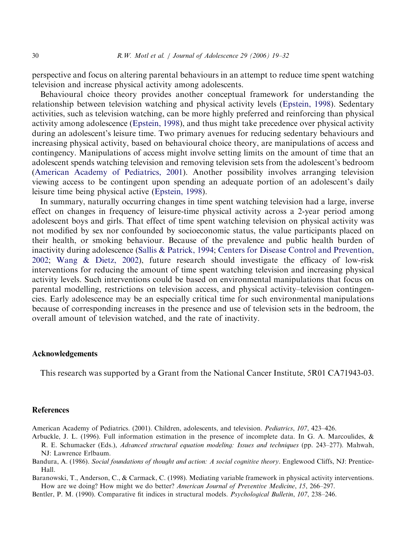<span id="page-12-0"></span>perspective and focus on altering parental behaviours in an attempt to reduce time spent watching television and increase physical activity among adolescents.

Behavioural choice theory provides another conceptual framework for understanding the relationship between television watching and physical activity levels [\(Epstein, 1998](#page-13-0)). Sedentary activities, such as television watching, can be more highly preferred and reinforcing than physical activity among adolescence ([Epstein, 1998\)](#page-13-0), and thus might take precedence over physical activity during an adolescent's leisure time. Two primary avenues for reducing sedentary behaviours and increasing physical activity, based on behavioural choice theory, are manipulations of access and contingency. Manipulations of access might involve setting limits on the amount of time that an adolescent spends watching television and removing television sets from the adolescent's bedroom (American Academy of Pediatrics, 2001). Another possibility involves arranging television viewing access to be contingent upon spending an adequate portion of an adolescent's daily leisure time being physical active [\(Epstein, 1998\)](#page-13-0).

In summary, naturally occurring changes in time spent watching television had a large, inverse effect on changes in frequency of leisure-time physical activity across a 2-year period among adolescent boys and girls. That effect of time spent watching television on physical activity was not modified by sex nor confounded by socioeconomic status, the value participants placed on their health, or smoking behaviour. Because of the prevalence and public health burden of inactivity during adolescence ([Sallis](#page-13-0) & [Patrick, 1994;](#page-13-0) [Centers for Disease Control and Prevention,](#page-13-0) [2002](#page-13-0); [Wang](#page-14-0) & [Dietz, 2002](#page-14-0)), future research should investigate the efficacy of low-risk interventions for reducing the amount of time spent watching television and increasing physical activity levels. Such interventions could be based on environmental manipulations that focus on parental modelling, restrictions on television access, and physical activity–television contingencies. Early adolescence may be an especially critical time for such environmental manipulations because of corresponding increases in the presence and use of television sets in the bedroom, the overall amount of television watched, and the rate of inactivity.

#### Acknowledgements

This research was supported by a Grant from the National Cancer Institute, 5R01 CA71943-03.

#### References

American Academy of Pediatrics. (2001). Children, adolescents, and television. Pediatrics, 107, 423–426.

Arbuckle, J. L. (1996). Full information estimation in the presence of incomplete data. In G. A. Marcoulides, & R. E. Schumacker (Eds.), Advanced structural equation modeling: Issues and techniques (pp. 243–277). Mahwah, NJ: Lawrence Erlbaum.

Bandura, A. (1986). Social foundations of thought and action: A social cognitive theory. Englewood Cliffs, NJ: Prentice-Hall.

Baranowski, T., Anderson, C., & Carmack, C. (1998). Mediating variable framework in physical activity interventions. How are we doing? How might we do better? American Journal of Preventive Medicine, 15, 266–297.

Bentler, P. M. (1990). Comparative fit indices in structural models. Psychological Bulletin, 107, 238–246.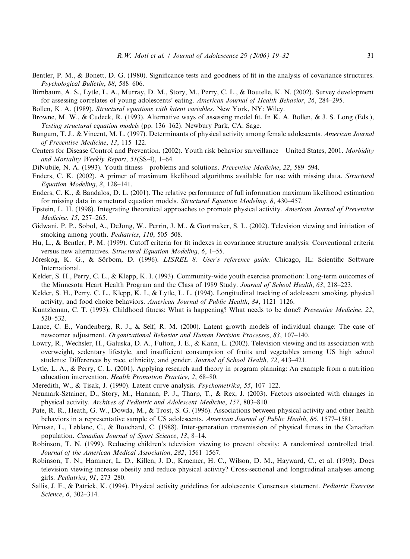- <span id="page-13-0"></span>Bentler, P. M., & Bonett, D. G. (1980). Significance tests and goodness of fit in the analysis of covariance structures. Psychological Bulletin, 88, 588–606.
- Birnbaum, A. S., Lytle, L. A., Murray, D. M., Story, M., Perry, C. L., & Boutelle, K. N. (2002). Survey development for assessing correlates of young adolescents' eating. American Journal of Health Behavior, 26, 284–295.

Bollen, K. A. (1989). Structural equations with latent variables. New York, NY: Wiley.

- Browne, M. W., & Cudeck, R. (1993). Alternative ways of assessing model fit. In K. A. Bollen, & J. S. Long (Eds.), Testing structural equation models (pp. 136–162). Newbury Park, CA: Sage.
- Bungum, T. J., & Vincent, M. L. (1997). Determinants of physical activity among female adolescents. American Journal of Preventive Medicine, 13, 115–122.
- Centers for Disease Control and Prevention. (2002). Youth risk behavior surveillance—United States, 2001. Morbidity and Mortality Weekly Report, 51(SS-4), 1–64.
- DiNubile, N. A. (1993). Youth fitness—problems and solutions. Preventive Medicine, 22, 589–594.
- Enders, C. K. (2002). A primer of maximum likelihood algorithms available for use with missing data. Structural Equation Modeling, 8, 128–141.
- Enders, C. K., & Bandalos, D. L. (2001). The relative performance of full information maximum likelihood estimation for missing data in structural equation models. Structural Equation Modeling, 8, 430–457.
- Epstein, L. H. (1998). Integrating theoretical approaches to promote physical activity. American Journal of Preventive Medicine, 15, 257–265.
- Gidwani, P. P., Sobol, A., DeJong, W., Perrin, J. M., & Gortmaker, S. L. (2002). Television viewing and initiation of smoking among youth. *Pediatrics*, 110, 505–508.
- Hu, L., & Bentler, P. M. (1999). Cutoff criteria for fit indexes in covariance structure analysis: Conventional criteria versus new alternatives. Structural Equation Modeling, 6, 1–55.
- Jöreskog, K. G., & Sörbom, D. (1996). LISREL 8: User's reference guide. Chicago, IL: Scientific Software International.
- Kelder, S. H., Perry, C. L., & Klepp, K. I. (1993). Community-wide youth exercise promotion: Long-term outcomes of the Minnesota Heart Health Program and the Class of 1989 Study. Journal of School Health, 63, 218–223.
- Kelder, S. H., Perry, C. L., Klepp, K. I., & Lytle, L. L. (1994). Longitudinal tracking of adolescent smoking, physical activity, and food choice behaviors. American Journal of Public Health, 84, 1121–1126.
- Kuntzleman, C. T. (1993). Childhood fitness: What is happening? What needs to be done? *Preventive Medicine*, 22, 520–532.
- Lance, C. E., Vandenberg, R. J., & Self, R. M. (2000). Latent growth models of individual change: The case of newcomer adjustment. Organizational Behavior and Human Decision Processes, 83, 107–140.
- Lowry, R., Wechsler, H., Galuska, D. A., Fulton, J. E., & Kann, L. (2002). Television viewing and its association with overweight, sedentary lifestyle, and insufficient consumption of fruits and vegetables among US high school students: Differences by race, ethnicity, and gender. Journal of School Health, 72, 413–421.
- Lytle, L. A., & Perry, C. L. (2001). Applying research and theory in program planning: An example from a nutrition education intervention. Health Promotion Practice, 2, 68–80.
- Meredith, W., & Tisak, J. (1990). Latent curve analysis. *Psychometrika*, 55, 107–122.
- Neumark-Sztainer, D., Story, M., Hannan, P. J., Tharp, T., & Rex, J. (2003). Factors associated with changes in physical activity. Archives of Pediatric and Adolescent Medicine, 157, 803–810.
- Pate, R. R., Heath, G. W., Dowda, M., & Trost, S. G. (1996). Associations between physical activity and other health behaviors in a representative sample of US adolescents. American Journal of Public Health, 86, 1577–1581.
- Pérusse, L., Leblanc, C., & Bouchard, C. (1988). Inter-generation transmission of physical fitness in the Canadian population. Canadian Journal of Sport Science, 13, 8–14.
- Robinson, T. N. (1999). Reducing children's television viewing to prevent obesity: A randomized controlled trial. Journal of the American Medical Association, 282, 1561–1567.
- Robinson, T. N., Hammer, L. D., Killen, J. D., Kraemer, H. C., Wilson, D. M., Hayward, C., et al. (1993). Does television viewing increase obesity and reduce physical activity? Cross-sectional and longitudinal analyses among girls. Pediatrics, 91, 273–280.
- Sallis, J. F., & Patrick, K. (1994). Physical activity guidelines for adolescents: Consensus statement. Pediatric Exercise Science, 6, 302–314.